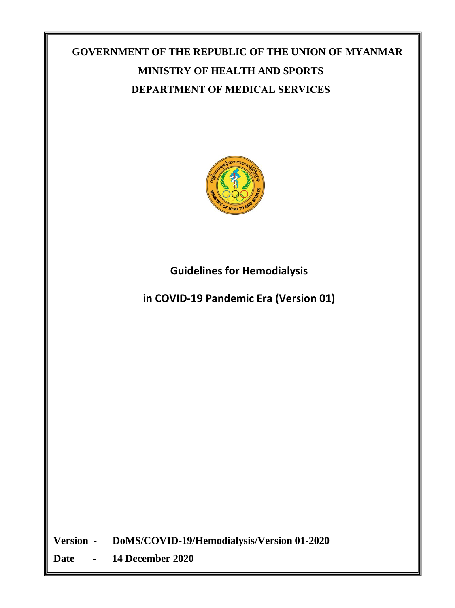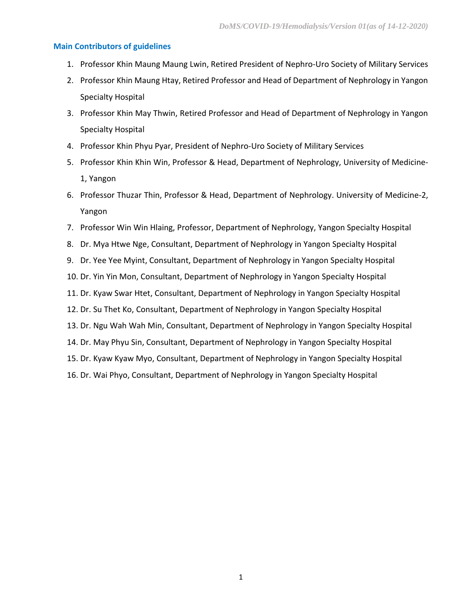#### **Main Contributors of guidelines**

- 1. Professor Khin Maung Maung Lwin, Retired President of Nephro-Uro Society of Military Services
- 2. Professor Khin Maung Htay, Retired Professor and Head of Department of Nephrology in Yangon Specialty Hospital
- 3. Professor Khin May Thwin, Retired Professor and Head of Department of Nephrology in Yangon Specialty Hospital
- 4. Professor Khin Phyu Pyar, President of Nephro-Uro Society of Military Services
- 5. Professor Khin Khin Win, Professor & Head, Department of Nephrology, University of Medicine-1, Yangon
- 6. Professor Thuzar Thin, Professor & Head, Department of Nephrology. University of Medicine-2, Yangon
- 7. Professor Win Win Hlaing, Professor, Department of Nephrology, Yangon Specialty Hospital
- 8. Dr. Mya Htwe Nge, Consultant, Department of Nephrology in Yangon Specialty Hospital
- 9. Dr. Yee Yee Myint, Consultant, Department of Nephrology in Yangon Specialty Hospital
- 10. Dr. Yin Yin Mon, Consultant, Department of Nephrology in Yangon Specialty Hospital
- 11. Dr. Kyaw Swar Htet, Consultant, Department of Nephrology in Yangon Specialty Hospital
- 12. Dr. Su Thet Ko, Consultant, Department of Nephrology in Yangon Specialty Hospital
- 13. Dr. Ngu Wah Wah Min, Consultant, Department of Nephrology in Yangon Specialty Hospital
- 14. Dr. May Phyu Sin, Consultant, Department of Nephrology in Yangon Specialty Hospital
- 15. Dr. Kyaw Kyaw Myo, Consultant, Department of Nephrology in Yangon Specialty Hospital
- 16. Dr. Wai Phyo, Consultant, Department of Nephrology in Yangon Specialty Hospital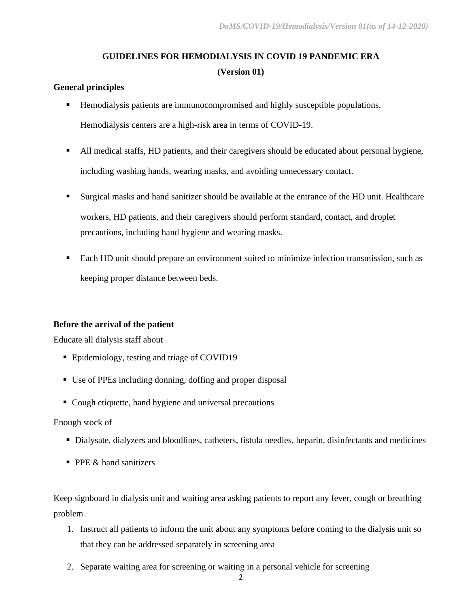# **GUIDELINES FOR HEMODIALYSIS IN COVID 19 PANDEMIC ERA (Version 01)**

#### **General principles**

- Hemodialysis patients are immunocompromised and highly susceptible populations. Hemodialysis centers are a high-risk area in terms of COVID-19.
- All medical staffs, HD patients, and their caregivers should be educated about personal hygiene, including washing hands, wearing masks, and avoiding unnecessary contact.
- Surgical masks and hand sanitizer should be available at the entrance of the HD unit. Healthcare workers, HD patients, and their caregivers should perform standard, contact, and droplet precautions, including hand hygiene and wearing masks.
- Each HD unit should prepare an environment suited to minimize infection transmission, such as keeping proper distance between beds.

## **Before the arrival of the patient**

Educate all dialysis staff about

- Epidemiology, testing and triage of COVID19
- Use of PPEs including donning, doffing and proper disposal
- Cough etiquette, hand hygiene and universal precautions

#### Enough stock of

- Dialysate, dialyzers and bloodlines, catheters, fistula needles, heparin, disinfectants and medicines
- **PPE & hand sanitizers**

Keep signboard in dialysis unit and waiting area asking patients to report any fever, cough or breathing problem

- 1. Instruct all patients to inform the unit about any symptoms before coming to the dialysis unit so that they can be addressed separately in screening area
- 2. Separate waiting area for screening or waiting in a personal vehicle for screening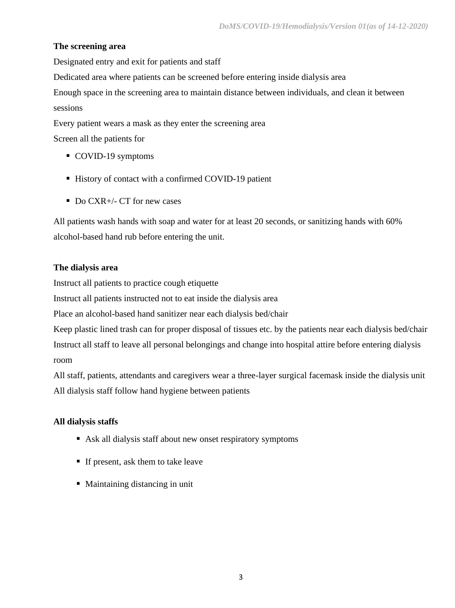# **The screening area**

Designated entry and exit for patients and staff

Dedicated area where patients can be screened before entering inside dialysis area

Enough space in the screening area to maintain distance between individuals, and clean it between sessions

Every patient wears a mask as they enter the screening area

Screen all the patients for

- COVID-19 symptoms
- History of contact with a confirmed COVID-19 patient
- Do CXR+/- CT for new cases

All patients wash hands with soap and water for at least 20 seconds, or sanitizing hands with 60% alcohol-based hand rub before entering the unit.

# **The dialysis area**

Instruct all patients to practice cough etiquette

Instruct all patients instructed not to eat inside the dialysis area

Place an alcohol-based hand sanitizer near each dialysis bed/chair

Keep plastic lined trash can for proper disposal of tissues etc. by the patients near each dialysis bed/chair Instruct all staff to leave all personal belongings and change into hospital attire before entering dialysis room

All staff, patients, attendants and caregivers wear a three-layer surgical facemask inside the dialysis unit All dialysis staff follow hand hygiene between patients

# **All dialysis staffs**

- Ask all dialysis staff about new onset respiratory symptoms
- If present, ask them to take leave
- Maintaining distancing in unit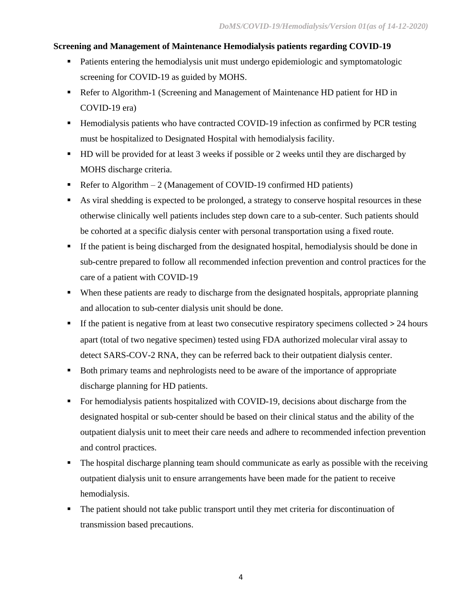# **Screening and Management of Maintenance Hemodialysis patients regarding COVID-19**

- Patients entering the hemodialysis unit must undergo epidemiologic and symptomatologic screening for COVID-19 as guided by MOHS.
- Refer to Algorithm-1 (Screening and Management of Maintenance HD patient for HD in COVID-19 era)
- Hemodialysis patients who have contracted COVID-19 infection as confirmed by PCR testing must be hospitalized to Designated Hospital with hemodialysis facility.
- HD will be provided for at least 3 weeks if possible or 2 weeks until they are discharged by MOHS discharge criteria.
- **•** Refer to Algorithm  $-2$  (Management of COVID-19 confirmed HD patients)
- As viral shedding is expected to be prolonged, a strategy to conserve hospital resources in these otherwise clinically well patients includes step down care to a sub-center. Such patients should be cohorted at a specific dialysis center with personal transportation using a fixed route.
- **•** If the patient is being discharged from the designated hospital, hemodialysis should be done in sub-centre prepared to follow all recommended infection prevention and control practices for the care of a patient with COVID-19
- When these patients are ready to discharge from the designated hospitals, appropriate planning and allocation to sub-center dialysis unit should be done.
- $\blacksquare$  If the patient is negative from at least two consecutive respiratory specimens collected  $> 24$  hours apart (total of two negative specimen) tested using FDA authorized molecular viral assay to detect SARS-COV-2 RNA, they can be referred back to their outpatient dialysis center.
- Both primary teams and nephrologists need to be aware of the importance of appropriate discharge planning for HD patients.
- For hemodialysis patients hospitalized with COVID-19, decisions about discharge from the designated hospital or sub-center should be based on their clinical status and the ability of the outpatient dialysis unit to meet their care needs and adhere to recommended infection prevention and control practices.
- The hospital discharge planning team should communicate as early as possible with the receiving outpatient dialysis unit to ensure arrangements have been made for the patient to receive hemodialysis.
- The patient should not take public transport until they met criteria for discontinuation of transmission based precautions.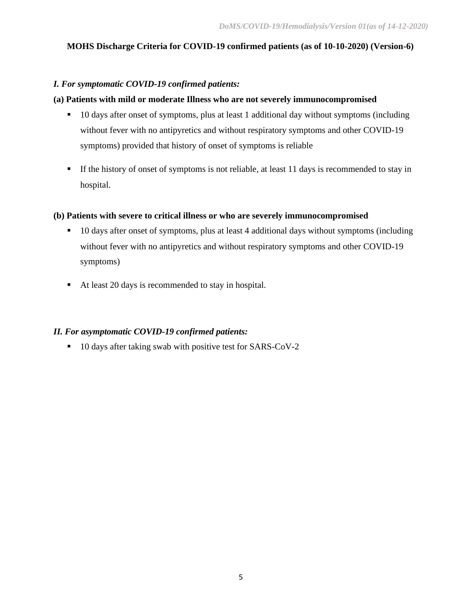# **MOHS Discharge Criteria for COVID-19 confirmed patients (as of 10-10-2020) (Version-6)**

## *I. For symptomatic COVID-19 confirmed patients:*

## **(a) Patients with mild or moderate Illness who are not severely immunocompromised**

- 10 days after onset of symptoms, plus at least 1 additional day without symptoms (including without fever with no antipyretics and without respiratory symptoms and other COVID-19 symptoms) provided that history of onset of symptoms is reliable
- **If the history of onset of symptoms is not reliable, at least 11 days is recommended to stay in** hospital.

#### **(b) Patients with severe to critical illness or who are severely immunocompromised**

- 10 days after onset of symptoms, plus at least 4 additional days without symptoms (including without fever with no antipyretics and without respiratory symptoms and other COVID-19 symptoms)
- At least 20 days is recommended to stay in hospital.

#### *II. For asymptomatic COVID-19 confirmed patients:*

■ 10 days after taking swab with positive test for SARS-CoV-2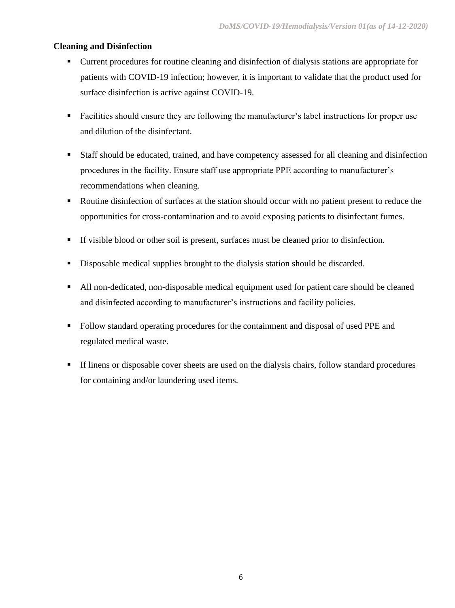## **Cleaning and Disinfection**

- Current procedures for routine cleaning and disinfection of dialysis stations are appropriate for patients with COVID-19 infection; however, it is important to validate that the product used for surface disinfection is active against COVID-19.
- Facilities should ensure they are following the manufacturer's label instructions for proper use and dilution of the disinfectant.
- Staff should be educated, trained, and have competency assessed for all cleaning and disinfection procedures in the facility. Ensure staff use appropriate PPE according to manufacturer's recommendations when cleaning.
- Routine disinfection of surfaces at the station should occur with no patient present to reduce the opportunities for cross-contamination and to avoid exposing patients to disinfectant fumes.
- If visible blood or other soil is present, surfaces must be cleaned prior to disinfection.
- **•** Disposable medical supplies brought to the dialysis station should be discarded.
- All non-dedicated, non-disposable medical equipment used for patient care should be cleaned and disinfected according to manufacturer's instructions and facility policies.
- Follow standard operating procedures for the containment and disposal of used PPE and regulated medical waste.
- **If linens or disposable cover sheets are used on the dialysis chairs, follow standard procedures** for containing and/or laundering used items.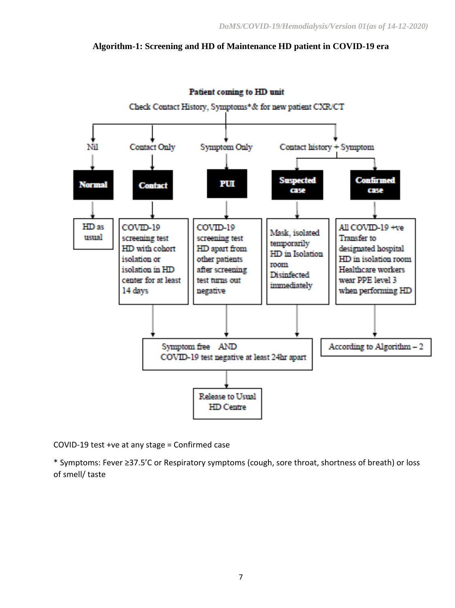## **Algorithm-1: Screening and HD of Maintenance HD patient in COVID-19 era**



Patient coming to HD unit

COVID-19 test +ve at any stage = Confirmed case

\* Symptoms: Fever ≥37.5'C or Respiratory symptoms (cough, sore throat, shortness of breath) or loss of smell/ taste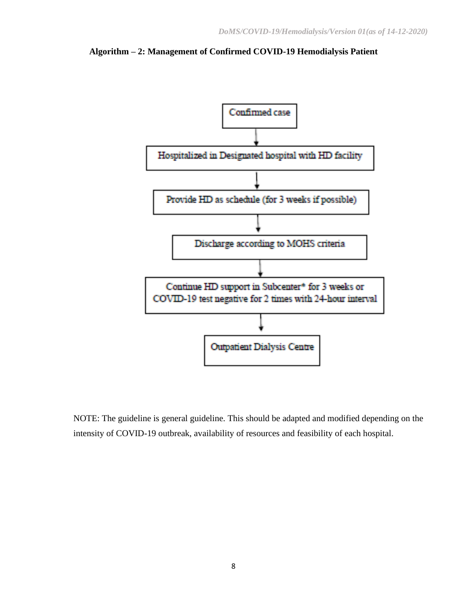

**Algorithm – 2: Management of Confirmed COVID-19 Hemodialysis Patient**

NOTE: The guideline is general guideline. This should be adapted and modified depending on the intensity of COVID-19 outbreak, availability of resources and feasibility of each hospital.